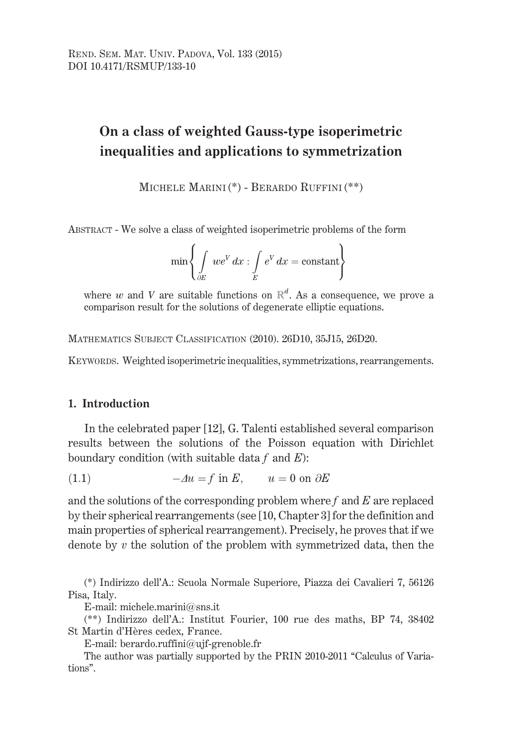# On a class of weighted Gauss-type isoperimetric inequalities and applications to symmetrization

MICHELE MARINI (\*) - BERARDO RUFFINI (\*\*)

ABSTRACT - We solve a class of weighted isoperimetric problems of the form

$$
\min \left\{ \int_{\partial E} w e^V dx : \int_E e^V dx = \text{constant} \right\}
$$

where w and V are suitable functions on  $\mathbb{R}^d$ . As a consequence, we prove a comparison result for the solutions of degenerate elliptic equations.

MATHEMATICS SUBJECT CLASSIFICATION (2010). 26D10, 35J15, 26D20.

KEYWORDS. Weighted isoperimetric inequalities, symmetrizations, rearrangements.

## 1. Introduction

In the celebrated paper [12], G. Talenti established several comparison results between the solutions of the Poisson equation with Dirichlet boundary condition (with suitable data  $f$  and  $E$ ):

 $-4u = f$  in E,  $u = 0$  on  $\partial E$  $(1.1)$ 

and the solutions of the corresponding problem where  $f$  and  $E$  are replaced by their spherical rearrangements (see [10, Chapter 3] for the definition and main properties of spherical rearrangement). Precisely, he proves that if we denote by  $v$  the solution of the problem with symmetrized data, then the

(\*) Indirizzo dell'A.: Scuola Normale Superiore, Piazza dei Cavalieri 7, 56126 Pisa, Italy.

E-mail: michele.marini@sns.it

(\*\*) Indirizzo dell'A.: Institut Fourier, 100 rue des maths, BP 74, 38402 St Martin d'Hères cedex, France.

E-mail: berardo.ruffini@ujf-grenoble.fr

The author was partially supported by the PRIN 2010-2011 "Calculus of Variations".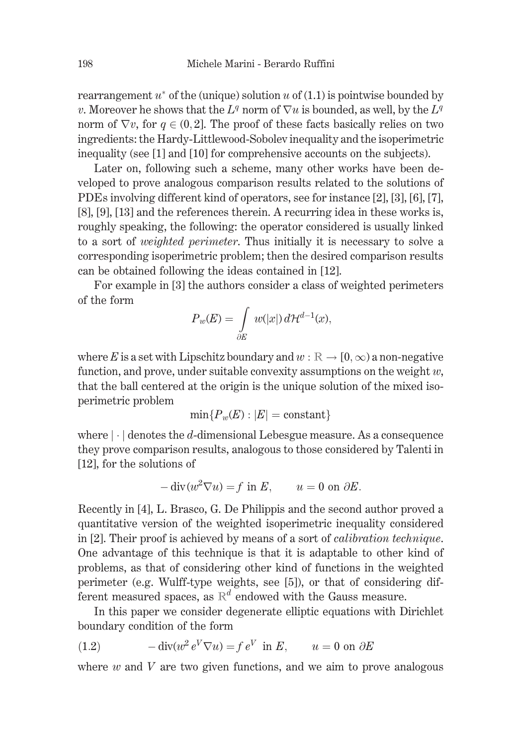rearrangement  $u^*$  of the (unique) solution u of (1.1) is pointwise bounded by v. Moreover he shows that the  $L^q$  norm of  $\nabla u$  is bounded, as well, by the  $L^q$ norm of  $\nabla v$ , for  $q \in (0,2]$ . The proof of these facts basically relies on two ingredients: the Hardy-Littlewood-Sobolev inequality and the isoperimetric inequality (see [1] and [10] for comprehensive accounts on the subjects).

Later on, following such a scheme, many other works have been developed to prove analogous comparison results related to the solutions of PDEs involving different kind of operators, see for instance [2], [3], [6], [7], [8], [9], [13] and the references therein. A recurring idea in these works is, roughly speaking, the following: the operator considered is usually linked to a sort of *weighted perimeter*. Thus initially it is necessary to solve a corresponding isoperimetric problem; then the desired comparison results can be obtained following the ideas contained in [12].

For example in [3] the authors consider a class of weighted perimeters of the form

$$
P_w(E) = \int_{\partial E} w(|x|) d\mathcal{H}^{d-1}(x),
$$

where E is a set with Lipschitz boundary and  $w : \mathbb{R} \to [0, \infty)$  a non-negative function, and prove, under suitable convexity assumptions on the weight  $w$ , that the ball centered at the origin is the unique solution of the mixed isoperimetric problem

$$
\min\{P_w(E):|E|=\text{constant}\}
$$

where  $|\cdot|$  denotes the d-dimensional Lebesgue measure. As a consequence they prove comparison results, analogous to those considered by Talenti in  $[12]$ , for the solutions of

$$
-\operatorname{div}(w^2 \nabla u) = f \text{ in } E, \qquad u = 0 \text{ on } \partial E.
$$

Recently in [4], L. Brasco, G. De Philippis and the second author proved a quantitative version of the weighted isoperimetric inequality considered in [2]. Their proof is achieved by means of a sort of *calibration technique*. One advantage of this technique is that it is adaptable to other kind of problems, as that of considering other kind of functions in the weighted perimeter (e.g. Wulff-type weights, see [5]), or that of considering different measured spaces, as  $\mathbb{R}^d$  endowed with the Gauss measure.

In this paper we consider degenerate elliptic equations with Dirichlet boundary condition of the form

(1.2) 
$$
-\operatorname{div}(w^2 e^V \nabla u) = f e^V \text{ in } E, \qquad u = 0 \text{ on } \partial E
$$

where  $w$  and  $V$  are two given functions, and we aim to prove analogous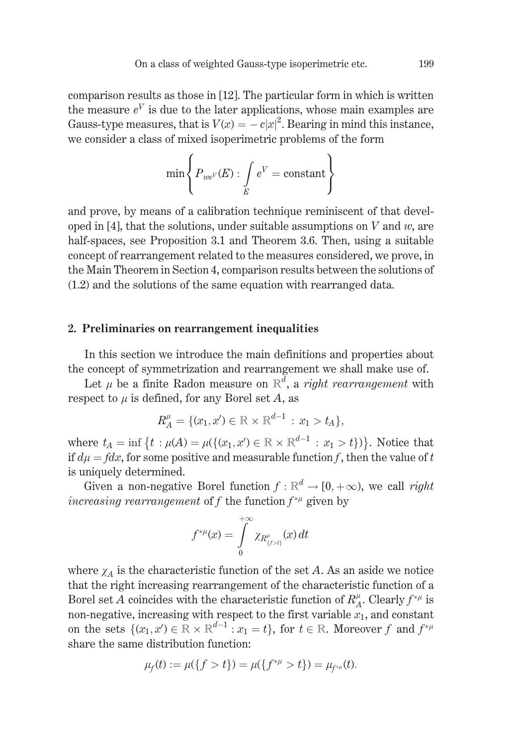comparison results as those in [12]. The particular form in which is written the measure  $e^V$  is due to the later applications, whose main examples are Gauss-type measures, that is  $V(x) = -c|x|^2$ . Bearing in mind this instance, we consider a class of mixed isoperimetric problems of the form

$$
\min \left\{ P_{we^V}(E) : \int\limits_E e^V = \text{constant} \right\}
$$

and prove, by means of a calibration technique reminiscent of that developed in [4], that the solutions, under suitable assumptions on V and  $w$ , are half-spaces, see Proposition 3.1 and Theorem 3.6. Then, using a suitable concept of rearrangement related to the measures considered, we prove, in the Main Theorem in Section 4, comparison results between the solutions of  $(1.2)$  and the solutions of the same equation with rearranged data.

### 2. Preliminaries on rearrangement inequalities

In this section we introduce the main definitions and properties about the concept of symmetrization and rearrangement we shall make use of.

Let  $\mu$  be a finite Radon measure on  $\mathbb{R}^d$ , a *right rearrangement* with respect to  $\mu$  is defined, for any Borel set A, as

$$
R_A^{\mu} = \{ (x_1, x') \in \mathbb{R} \times \mathbb{R}^{d-1} : x_1 > t_A \},\
$$

where  $t_A = \inf \{ t : \mu(A) = \mu(\{(x_1, x') \in \mathbb{R} \times \mathbb{R}^{d-1} : x_1 > t \}) \}$ . Notice that if  $d\mu = f dx$ , for some positive and measurable function f, then the value of t is uniquely determined.

Given a non-negative Borel function  $f: \mathbb{R}^d \to [0, +\infty)$ , we call right increasing rearrangement of f the function  $f^{*\mu}$  given by

$$
f^{*\mu}(x)=\int\limits_0^{+\infty}\chi_{R_{\{f>t\}}^\mu}(x)\,dt
$$

where  $\chi_A$  is the characteristic function of the set A. As an aside we notice that the right increasing rearrangement of the characteristic function of a Borel set A coincides with the characteristic function of  $R^{\mu}_{A}$ . Clearly  $f^{*\mu}$  is non-negative, increasing with respect to the first variable  $x_1$ , and constant on the sets  $\{(x_1, x') \in \mathbb{R} \times \mathbb{R}^{d-1} : x_1 = t\}$ , for  $t \in \mathbb{R}$ . Moreover f and  $f^{*\mu}$ share the same distribution function:

$$
\mu_f(t) := \mu(\{f > t\}) = \mu(\{f^{*\mu} > t\}) = \mu_{f^{*\mu}}(t)
$$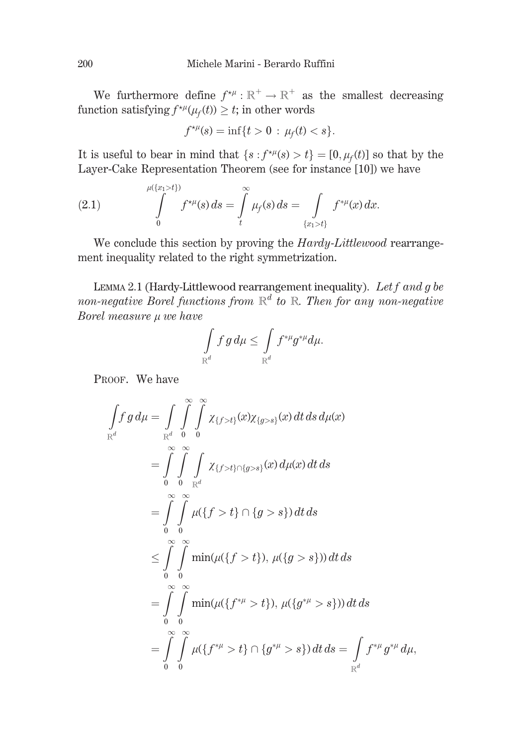We furthermore define  $f^{\star \mu}: \mathbb{R}^+ \to \mathbb{R}^+$  as the smallest decreasing function satisfying  $f^{\star \mu}(\mu_f(t)) \geq t$ ; in other words

$$
f^{\star \mu}(s) = \inf\{t > 0 \,:\, \mu_f(t) < s\}.
$$

It is useful to bear in mind that  $\{s : f^{\star \mu}(s) > t\} = [0, \mu_f(t)]$  so that by the Layer-Cake Representation Theorem (see for instance [10]) we have

(2.1) 
$$
\int_{0}^{\mu(\{x_{1}>t\})} f^{\star\mu}(s) ds = \int_{t}^{\infty} \mu_{f}(s) ds = \int_{\{x_{1}>t\}} f^{\ast\mu}(x) dx.
$$

We conclude this section by proving the Hardy-Littlewood rearrangement inequality related to the right symmetrization.

LEMMA 2.1 (Hardy-Littlewood rearrangement inequality). Let  $f$  and  $g$  be non-negative Borel functions from  $\mathbb{R}^d$  to  $\mathbb{R}$ . Then for any non-negative Borel measure u we have

$$
\int\limits_{\mathbb R^d} f\, g\, d\mu \leq \int\limits_{\mathbb R^d} f^{*\mu} g^{*\mu} d\mu.
$$

PROOF. We have

$$
\int_{\mathbb{R}^d} f g d\mu = \int_{\mathbb{R}^d} \int_{0}^{\infty} \int_{0}^{\infty} \chi_{\{f > t\}}(x) \chi_{\{g > s\}}(x) dt ds d\mu(x)
$$
\n
$$
= \int_{0}^{\infty} \int_{0}^{\infty} \int_{\mathbb{R}^d} \chi_{\{f > t\} \cap \{g > s\}}(x) d\mu(x) dt ds
$$
\n
$$
= \int_{0}^{\infty} \int_{0}^{\infty} \mu(\{f > t\} \cap \{g > s\}) dt ds
$$
\n
$$
\leq \int_{0}^{\infty} \int_{0}^{\infty} \min(\mu(\{f > t\}), \mu(\{g > s\})) dt ds
$$
\n
$$
= \int_{0}^{\infty} \int_{0}^{\infty} \min(\mu(\{f^{*\mu} > t\}), \mu(\{g^{*\mu} > s\})) dt ds
$$
\n
$$
= \int_{0}^{\infty} \int_{0}^{\infty} \mu(\{f^{*\mu} > t\} \cap \{g^{*\mu} > s\}) dt ds = \int_{\mathbb{R}^d} f^{*\mu} g^{*\mu} d\mu,
$$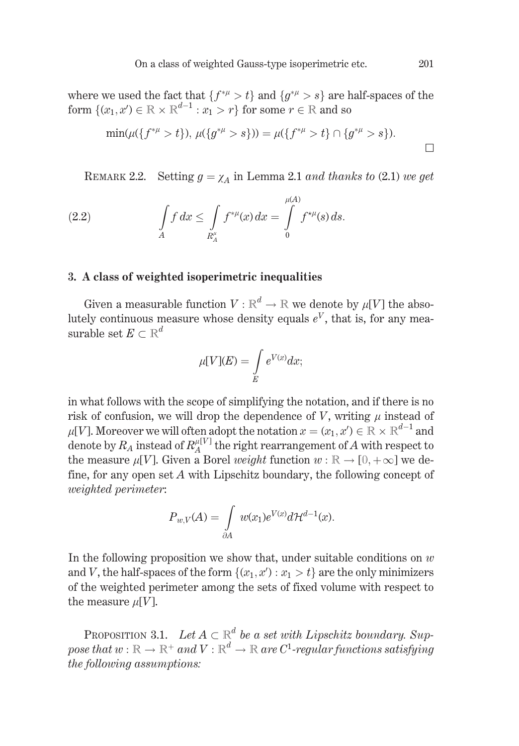where we used the fact that  $\{f^{*\mu} > t\}$  and  $\{g^{*\mu} > s\}$  are half-spaces of the form  $\{(x_1, x') \in \mathbb{R} \times \mathbb{R}^{d-1} : x_1 > r\}$  for some  $r \in \mathbb{R}$  and so

$$
\min(\mu(\{f^{*\mu} > t\}), \mu(\{g^{*\mu} > s\})) = \mu(\{f^{*\mu} > t\} \cap \{g^{*\mu} > s\}).
$$

REMARK 2.2. Setting  $g = \chi_A$  in Lemma 2.1 and thanks to (2.1) we get

(2.2) 
$$
\int_{A} f \, dx \leq \int_{R_A^{\mu}} f^{*\mu}(x) \, dx = \int_{0}^{\mu(A)} f^{*\mu}(s) \, ds.
$$

### 3. A class of weighted isoperimetric inequalities

Given a measurable function  $V : \mathbb{R}^d \to \mathbb{R}$  we denote by  $\mu[V]$  the absolutely continuous measure whose density equals  $e^V$ , that is, for any measurable set  $E \subset \mathbb{R}^d$ 

$$
\mu[V](E)=\int\limits_{E}e^{V(x)}dx;
$$

in what follows with the scope of simplifying the notation, and if there is no risk of confusion, we will drop the dependence of  $V$ , writing  $\mu$  instead of  $\mu[V]$ . Moreover we will often adopt the notation  $x = (x_1, x') \in \mathbb{R} \times \mathbb{R}^{d-1}$  and denote by  $R_A$  instead of  $R_A^{\mu[V]}$  the right rearrangement of A with respect to the measure  $\mu[V]$ . Given a Borel *weight* function  $w : \mathbb{R} \to [0, +\infty]$  we define, for any open set  $A$  with Lipschitz boundary, the following concept of *weighted perimeter:* 

$$
P_{w,V}(A) = \int_{\partial A} w(x_1) e^{V(x)} d\mathcal{H}^{d-1}(x).
$$

In the following proposition we show that, under suitable conditions on  $w$ and V, the half-spaces of the form  $\{(x_1, x'): x_1 > t\}$  are the only minimizers of the weighted perimeter among the sets of fixed volume with respect to the measure  $\mu[V]$ .

**PROPOSITION 3.1.** Let  $A \subset \mathbb{R}^d$  be a set with Lipschitz boundary. Suppose that  $w : \mathbb{R} \to \mathbb{R}^+$  and  $V : \mathbb{R}^d \to \mathbb{R}$  are  $C^1$ -regular functions satisfying the following assumptions: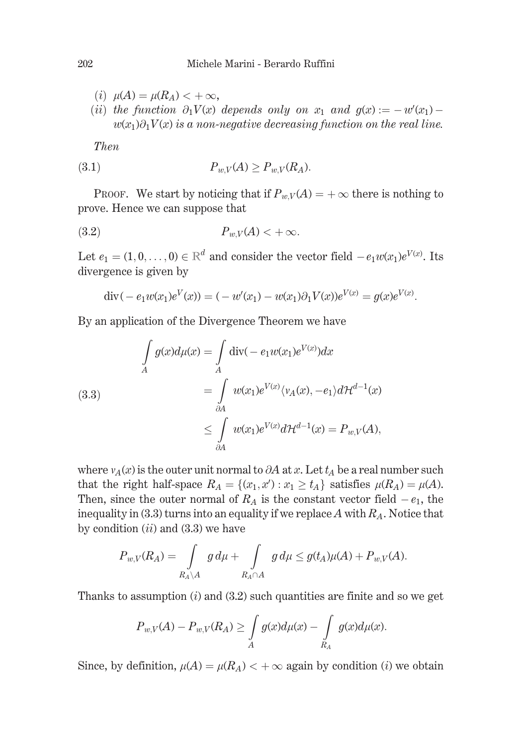- (*i*)  $\mu(A) = \mu(R_A) < +\infty$ ,
- (ii) the function  $\partial_1 V(x)$  depends only on  $x_1$  and  $g(x) := -w'(x_1)$  $w(x_1)\partial_1 V(x)$  is a non-negative decreasing function on the real line.

**Then** 

$$
(3.1) \t\t P_{w,V}(A) \ge P_{w,V}(R_A)
$$

PROOF. We start by noticing that if  $P_{wV}(A) = +\infty$  there is nothing to prove. Hence we can suppose that

$$
(3.2) \t\t P_{w,V}(A) < +\infty
$$

Let  $e_1 = (1, 0, \ldots, 0) \in \mathbb{R}^d$  and consider the vector field  $-e_1w(x_1)e^{V(x)}$ . Its divergence is given by

$$
\operatorname{div}(-e_1w(x_1)e^V(x)) = (-w'(x_1) - w(x_1)\partial_1 V(x))e^{V(x)} = g(x)e^{V(x)}.
$$

By an application of the Divergence Theorem we have

(3.3)  
\n
$$
\int_{A} g(x) d\mu(x) = \int_{A} \text{div}(-e_1 w(x_1) e^{V(x)}) dx
$$
\n
$$
= \int_{\partial A} w(x_1) e^{V(x)} \langle v_A(x), -e_1 \rangle d\mathcal{H}^{d-1}(x)
$$
\n
$$
\leq \int_{\partial A} w(x_1) e^{V(x)} d\mathcal{H}^{d-1}(x) = P_{w,V}(A),
$$

where  $v_A(x)$  is the outer unit normal to  $\partial A$  at x. Let  $t_A$  be a real number such that the right half-space  $R_A = \{(x_1, x') : x_1 \ge t_A\}$  satisfies  $\mu(R_A) = \mu(A)$ . Then, since the outer normal of  $R_A$  is the constant vector field  $-e_1$ , the inequality in (3.3) turns into an equality if we replace A with  $R_A$ . Notice that by condition  $(ii)$  and  $(3.3)$  we have

$$
P_{w,V}(R_A) = \int\limits_{R_A\backslash A} g\, d\mu + \int\limits_{R_A\cap A} g\, d\mu \leq g(t_A)\mu(A) + P_{w,V}(A).
$$

Thanks to assumption  $(i)$  and  $(3.2)$  such quantities are finite and so we get

$$
P_{w,V}(A) - P_{w,V}(R_A) \ge \int_A g(x) d\mu(x) - \int_{R_A} g(x) d\mu(x).
$$

Since, by definition,  $\mu(A) = \mu(R_A) < +\infty$  again by condition (i) we obtain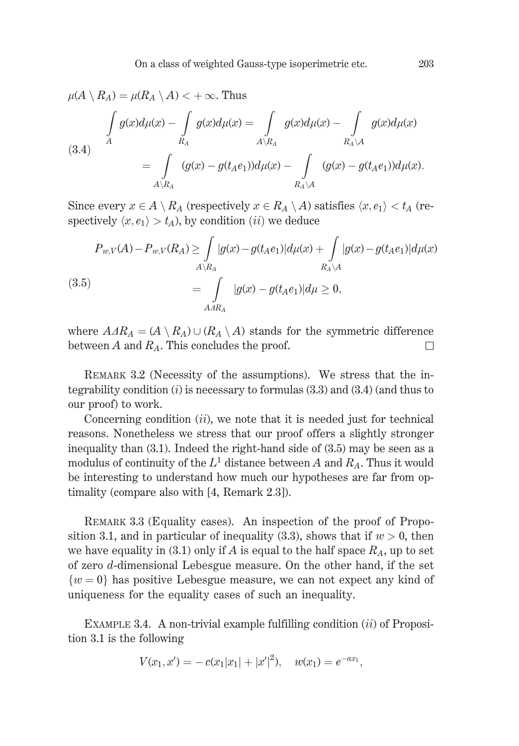$$
\mu(A \setminus R_A) = \mu(R_A \setminus A) < +\infty. \text{ Thus}
$$
\n
$$
\int_A g(x) d\mu(x) - \int_{R_A} g(x) d\mu(x) = \int_{A \setminus R_A} g(x) d\mu(x) - \int_{R_A \setminus A} g(x) d\mu(x)
$$
\n(3.4)\n
$$
= \int_{A \setminus R_A} (g(x) - g(t_A e_1)) d\mu(x) - \int_{R_A \setminus A} (g(x) - g(t_A e_1)) d\mu(x).
$$

Since every  $x \in A \setminus R_A$  (respectively  $x \in R_A \setminus A$ ) satisfies  $\langle x, e_1 \rangle < t_A$  (respectively  $\langle x, e_1 \rangle > t_A$ , by condition (*ii*) we deduce

$$
P_{w,V}(A) - P_{w,V}(R_A) \ge \int_{A \setminus R_A} |g(x) - g(t_A e_1)| d\mu(x) + \int_{R_A \setminus A} |g(x) - g(t_A e_1)| d\mu(x)
$$
\n
$$
(3.5) \qquad \qquad = \int_{A \triangle R_A} |g(x) - g(t_A e_1)| d\mu \ge 0,
$$

where  $A \triangle A R_A = (A \setminus R_A) \cup (R_A \setminus A)$  stands for the symmetric difference between A and  $R_A$ . This concludes the proof.  $\Box$ 

REMARK 3.2 (Necessity of the assumptions). We stress that the integrability condition  $(i)$  is necessary to formulas  $(3.3)$  and  $(3.4)$  (and thus to our proof) to work.

Concerning condition  $(ii)$ , we note that it is needed just for technical reasons. Nonetheless we stress that our proof offers a slightly stronger inequality than  $(3.1)$ . Indeed the right-hand side of  $(3.5)$  may be seen as a modulus of continuity of the  $L^1$  distance between A and  $R_A$ . Thus it would be interesting to understand how much our hypotheses are far from optimality (compare also with [4, Remark 2.3]).

REMARK 3.3 (Equality cases). An inspection of the proof of Proposition 3.1, and in particular of inequality (3.3), shows that if  $w > 0$ , then we have equality in (3.1) only if A is equal to the half space  $R_A$ , up to set of zero  $d$ -dimensional Lebesgue measure. On the other hand, if the set  $\{w=0\}$  has positive Lebesgue measure, we can not expect any kind of uniqueness for the equality cases of such an inequality.

EXAMPLE 3.4. A non-trivial example fulfilling condition  $(ii)$  of Proposition 3.1 is the following

$$
V(x_1, x') = -c(x_1|x_1| + |x'|^2), \quad w(x_1) = e^{-ax_1},
$$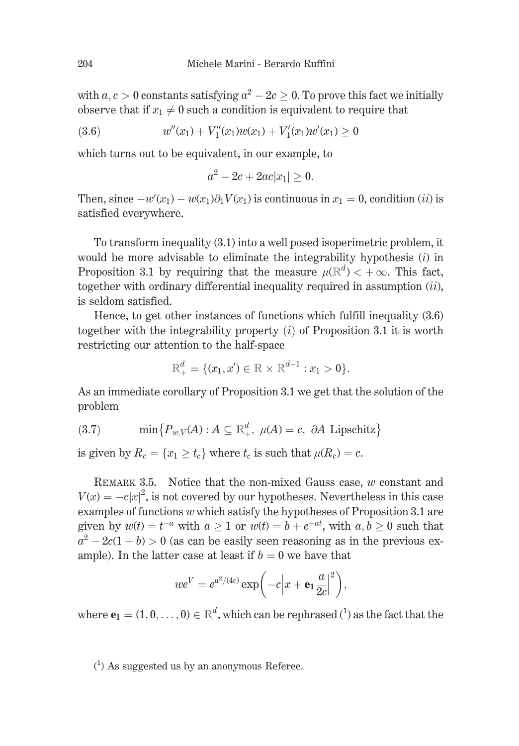with  $a, c > 0$  constants satisfying  $a^2 - 2c > 0$ . To prove this fact we initially observe that if  $x_1 \neq 0$  such a condition is equivalent to require that

$$
(3.6) \t w''(x_1) + V''_1(x_1)w(x_1) + V'_1(x_1)w'(x_1) \ge 0
$$

which turns out to be equivalent, in our example, to

$$
a^2 - 2c + 2ac|x_1| \ge 0
$$

Then, since  $-w'(x_1) - w(x_1)\partial_1 V(x_1)$  is continuous in  $x_1 = 0$ , condition (*ii*) is satisfied everywhere.

To transform inequality (3.1) into a well posed isoperimetric problem, it would be more advisable to eliminate the integrability hypothesis  $(i)$  in Proposition 3.1 by requiring that the measure  $\mu(\mathbb{R}^d) < +\infty$ . This fact, together with ordinary differential inequality required in assumption  $(ii)$ , is seldom satisfied.

Hence, to get other instances of functions which fulfill inequality  $(3.6)$ together with the integrability property  $(i)$  of Proposition 3.1 it is worth restricting our attention to the half-space

$$
\mathbb{R}^d_+ = \{ (x_1, x') \in \mathbb{R} \times \mathbb{R}^{d-1} : x_1 > 0 \}.
$$

As an immediate corollary of Proposition 3.1 we get that the solution of the problem

(3.7) 
$$
\min\{P_{w,V}(A) : A \subseteq \mathbb{R}^d_+, \ \mu(A) = c, \ \partial A \text{ Lipschitz}\}
$$

is given by  $R_c = \{x_1 \ge t_c\}$  where  $t_c$  is such that  $\mu(R_c) = c$ .

REMARK 3.5. Notice that the non-mixed Gauss case,  $w$  constant and  $V(x) = -c|x|^2$ , is not covered by our hypotheses. Nevertheless in this case examples of functions  $w$  which satisfy the hypotheses of Proposition 3.1 are given by  $w(t) = t^{-a}$  with  $a > 1$  or  $w(t) = b + e^{-at}$ , with  $a, b > 0$  such that  $a^2-2c(1+b) > 0$  (as can be easily seen reasoning as in the previous example). In the latter case at least if  $b = 0$  we have that

$$
we^V = e^{a^2/(4c)} \exp\biggl(-c\biggl|x + \mathbf{e}_1 \frac{a}{2c}\biggr|^2\biggr),
$$

where  $\mathbf{e}_1 = (1, 0, \dots, 0) \in \mathbb{R}^d$ , which can be rephrased  $(1)$  as the fact that the

 $(1)$  As suggested us by an anonymous Referee.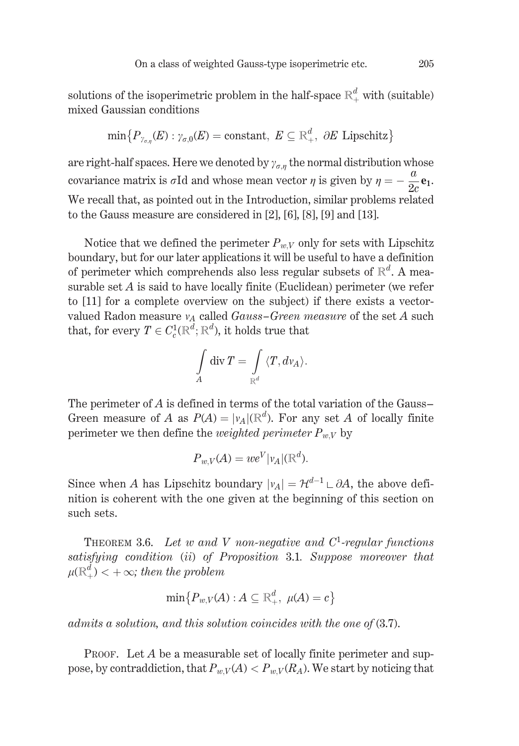solutions of the isoperimetric problem in the half-space  $\mathbb{R}^d_+$  with (suitable) mixed Gaussian conditions

$$
\min\{P_{\gamma_{\sigma,n}}(E): \gamma_{\sigma,0}(E)=\text{constant},\ E\subseteq\mathbb{R}^d_+, \ \partial E \text{ Lipschitz}\}
$$

are right-half spaces. Here we denoted by  $\gamma_{\sigma,n}$  the normal distribution whose covariance matrix is  $\sigma$ Id and whose mean vector  $\eta$  is given by  $\eta = -\frac{u}{2c}$ **e**<sub>1</sub>. We recall that, as pointed out in the Introduction, similar problems related to the Gauss measure are considered in  $[2]$ ,  $[6]$ ,  $[8]$ ,  $[9]$  and  $[13]$ .

Notice that we defined the perimeter  $P_{wV}$  only for sets with Lipschitz boundary, but for our later applications it will be useful to have a definition of perimeter which comprehends also less regular subsets of  $\mathbb{R}^d$ . A measurable set  $A$  is said to have locally finite (Euclidean) perimeter (we refer to [11] for a complete overview on the subject) if there exists a vectorvalued Radon measure  $v_A$  called Gauss-Green measure of the set A such that, for every  $T \in C_c^1(\mathbb{R}^d; \mathbb{R}^d)$ , it holds true that

$$
\int\limits_A {\rm div}\, T = \int\limits_{\mathbb{R}^d} {\langle} T, d v_A{\rangle}.
$$

The perimeter of  $A$  is defined in terms of the total variation of the Gauss-Green measure of A as  $P(A) = |v_A|(\mathbb{R}^d)$ . For any set A of locally finite perimeter we then define the *weighted perimeter*  $P_{w,V}$  by

$$
P_{w,V}(A) = we^V|v_A|(\mathbb{R}^d).
$$

Since when A has Lipschitz boundary  $|v_A| = \mathcal{H}^{d-1} \cup \partial A$ , the above definition is coherent with the one given at the beginning of this section on such sets.

THEOREM 3.6. Let w and V non-negative and  $C^1$ -regular functions satisfying condition (ii) of Proposition 3.1. Suppose moreover that  $\mu(\mathbb{R}^d_+) < +\infty$ ; then the problem

$$
\min\{P_{w,V}(A):A\subseteq\mathbb{R}^d_+,\;\mu(A)=c\}
$$

admits a solution, and this solution coincides with the one of  $(3.7)$ .

**PROOF.** Let  $A$  be a measurable set of locally finite perimeter and suppose, by contraddiction, that  $P_{w,V}(A) < P_{w,V}(R_A)$ . We start by noticing that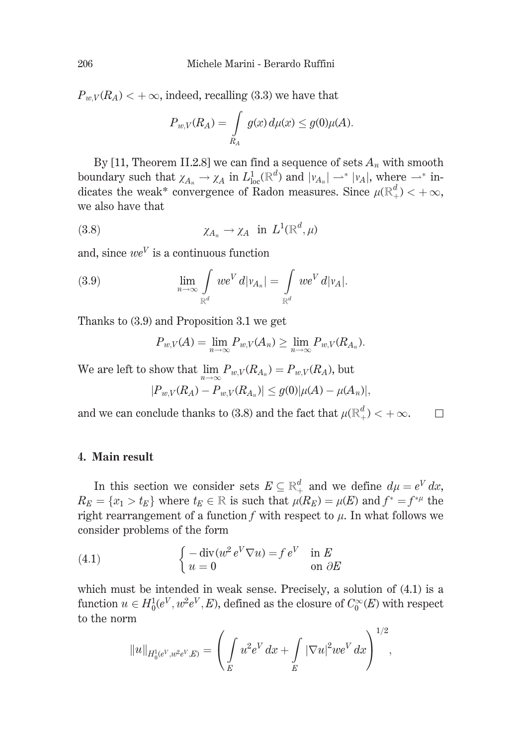$P_{wV}(R_A)$  < +  $\infty$ , indeed, recalling (3.3) we have that

$$
P_{w,V}(R_A) = \int\limits_{R_A} g(x) d\mu(x) \leq g(0)\mu(A).
$$

By [11, Theorem II.2.8] we can find a sequence of sets  $A_n$  with smooth boundary such that  $\chi_{A_n} \to \chi_A$  in  $L^1_{loc}(\mathbb{R}^d)$  and  $|\nu_{A_n}| \to |\nu_A|$ , where  $\to^*$  indicates the weak\* convergence of Radon measures. Since  $\mu(\mathbb{R}^d_+) < +\infty$ , we also have that

$$
(3.8) \t\t\t \chi_{A_n} \to \chi_A \text{ in } L^1(\mathbb{R}^d, \mu)
$$

and, since  $we^V$  is a continuous function

(3.9) 
$$
\lim_{n \to \infty} \int_{\mathbb{R}^d} w e^V d|v_{A_n}| = \int_{\mathbb{R}^d} w e^V d|v_A|.
$$

Thanks to (3.9) and Proposition 3.1 we get

$$
P_{w,V}(A) = \lim_{n \to \infty} P_{w,V}(A_n) \ge \lim_{n \to \infty} P_{w,V}(R_{A_n}).
$$

We are left to show that  $\lim_{n \to \infty} P_{w,V}(R_{A_n}) = P_{w,V}(R_A)$ , but

$$
|P_{w,V}(R_A) - P_{w,V}(R_{A_n})| \le g(0) |\mu(A) - \mu(A_n)|,
$$

and we can conclude thanks to (3.8) and the fact that  $\mu(\mathbb{R}^d_+) < +\infty.$  $\Box$ 

#### 4. Main result

In this section we consider sets  $E \subseteq \mathbb{R}^d_+$  and we define  $d\mu = e^V dx$ ,  $R_E = \{x_1 > t_E\}$  where  $t_E \in \mathbb{R}$  is such that  $\mu(R_E) = \mu(E)$  and  $f^* = f^{*\mu}$  the right rearrangement of a function  $f$  with respect to  $\mu$ . In what follows we consider problems of the form

(4.1) 
$$
\begin{cases}\n-\operatorname{div}(w^2 e^V \nabla u) = f e^V & \text{in } E \\
u = 0 & \text{on } \partial E\n\end{cases}
$$

which must be intended in weak sense. Precisely, a solution of  $(4.1)$  is a function  $u \in H_0^1(e^V, w^2e^V, E)$ , defined as the closure of  $C_0^{\infty}(E)$  with respect to the norm  $\overline{a}$ 

$$
||u||_{H_0^1(e^V,w^2e^V,E)} = \left(\int_E u^2 e^V dx + \int_E |\nabla u|^2 we^V dx\right)^{1/2},
$$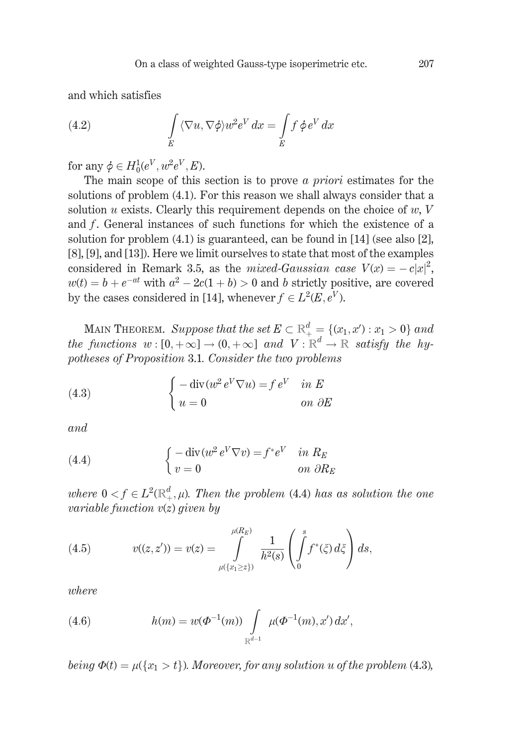and which satisfies

(4.2) 
$$
\int\limits_E \langle \nabla u, \nabla \phi \rangle w^2 e^V dx = \int\limits_E f \phi e^V dx
$$

for any  $\phi \in H_0^1(e^V, w^2e^V, E)$ .

The main scope of this section is to prove  $\alpha$  priori estimates for the solutions of problem (4.1). For this reason we shall always consider that a solution u exists. Clearly this requirement depends on the choice of  $w, V$ and f. General instances of such functions for which the existence of a solution for problem  $(4.1)$  is guaranteed, can be found in [14] (see also [2], [8], [9], and [13]). Here we limit ourselves to state that most of the examples considered in Remark 3.5, as the mixed-Gaussian case  $V(x) = -c|x|^2$ ,  $w(t) = b + e^{-at}$  with  $a^2 - 2c(1 + b) > 0$  and b strictly positive, are covered by the cases considered in [14], whenever  $f \in L^2(E, e^V)$ .

MAIN THEOREM. Suppose that the set  $E \subset \mathbb{R}^d_+ = \{(x_1, x') : x_1 > 0\}$  and the functions  $w:[0,+\infty] \to (0,+\infty]$  and  $V:\mathbb{R}^d \to \mathbb{R}$  satisfy the hypotheses of Proposition 3.1. Consider the two problems

(4.3) 
$$
\begin{cases}\n-\operatorname{div}(w^2 e^V \nabla u) = f e^V & \text{in } E \\
u = 0 & \text{on } \partial E\n\end{cases}
$$

and

(4.4) 
$$
\begin{cases}\n-\operatorname{div}(w^2 e^V \nabla v) = f^* e^V & \text{in } R_E \\
v = 0 & \text{on } \partial R_E\n\end{cases}
$$

where  $0 < f \in L^2(\mathbb{R}^d_+, \mu)$ . Then the problem (4.4) has as solution the one variable function  $v(z)$  given by

(4.5) 
$$
v((z, z')) = v(z) = \int_{\mu(\{x_1 \ge z\})}^{\mu(R_E)} \frac{1}{h^2(s)} \left( \int_0^s f^*(\zeta) d\zeta \right) ds,
$$

where

(4.6) 
$$
h(m) = w(\Phi^{-1}(m)) \int\limits_{\mathbb{R}^{d-1}} \mu(\Phi^{-1}(m), x') dx',
$$

being  $\Phi(t) = \mu({x_1 > t})$ . Moreover, for any solution u of the problem (4.3),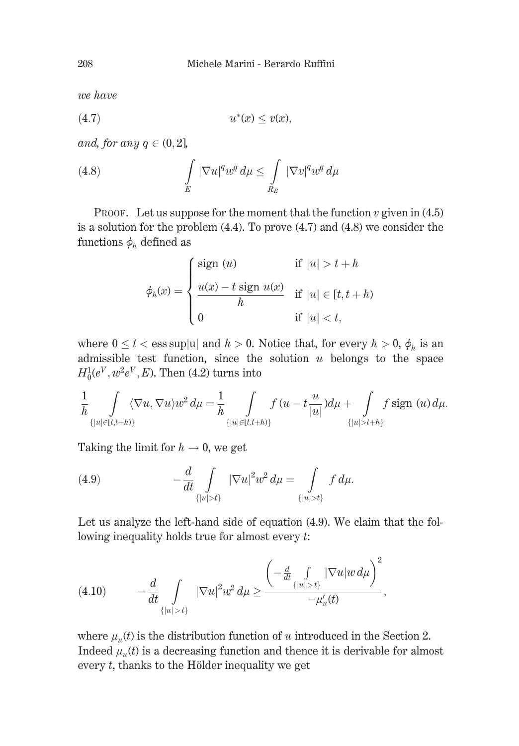we have

$$
(4.7) \t\t u^*(x) \le v(x),
$$

and, for any  $q \in (0, 2]$ ,

(4.8) 
$$
\int\limits_E |\nabla u|^q w^q d\mu \leq \int\limits_{R_E} |\nabla v|^q w^q d\mu
$$

PROOF. Let us suppose for the moment that the function  $v$  given in (4.5) is a solution for the problem  $(4.4)$ . To prove  $(4.7)$  and  $(4.8)$  we consider the functions  $\phi_h$  defined as

$$
\phi_h(x) = \begin{cases}\n\text{sign } (u) & \text{if } |u| > t + h \\
\frac{u(x) - t \text{ sign } u(x)}{h} & \text{if } |u| \in [t, t + h) \\
0 & \text{if } |u| < t,\n\end{cases}
$$

where  $0 \le t <$  ess sup |u| and  $h > 0$ . Notice that, for every  $h > 0$ ,  $\phi_h$  is an admissible test function, since the solution  $u$  belongs to the space  $H_0^1(e^V, w^2e^V, E)$ . Then (4.2) turns into

$$
\frac{1}{h} \int_{\{|u| \in [t,t+h)\}} \langle \nabla u, \nabla u \rangle u^2 d\mu = \frac{1}{h} \int_{\{|u| \in [t,t+h)\}} f(u - t \frac{u}{|u|}) d\mu + \int_{\{|u| > t+h\}} f \operatorname{sign}(u) d\mu.
$$

Taking the limit for  $h \to 0$ , we get

(4.9) 
$$
-\frac{d}{dt} \int_{\{|u| > t\}} |\nabla u|^2 w^2 d\mu = \int_{\{|u| > t\}} f d\mu
$$

Let us analyze the left-hand side of equation (4.9). We claim that the following inequality holds true for almost every  $t$ .

$$
(4.10) \t-\frac{d}{dt}\int_{\{|u|>t\}} |\nabla u|^2 w^2 d\mu \ge \frac{\left(-\frac{d}{dt}\int_{\{|u|>t\}} |\nabla u| w d\mu\right)^2}{-\mu'_u(t)},
$$

where  $\mu_u(t)$  is the distribution function of u introduced in the Section 2. Indeed  $\mu_u(t)$  is a decreasing function and thence it is derivable for almost every  $t$ , thanks to the Hölder inequality we get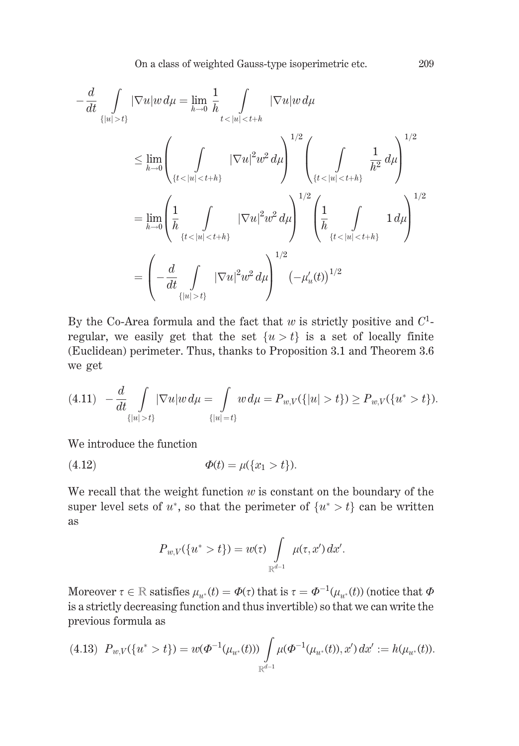$$
-\frac{d}{dt} \int_{\{|u|>t\}} |\nabla u| w \, d\mu = \lim_{h \to 0} \frac{1}{h} \int_{t < |u| < t+h} |\nabla u| w \, d\mu
$$
\n
$$
\leq \lim_{h \to 0} \left( \int_{\{t < |u| < t+h\}} |\nabla u|^2 w^2 \, d\mu \right)^{1/2} \left( \int_{\{t < |u| < t+h\}} \frac{1}{h^2} \, d\mu \right)^{1/2}
$$
\n
$$
= \lim_{h \to 0} \left( \frac{1}{h} \int_{\{t < |u| < t+h\}} |\nabla u|^2 w^2 \, d\mu \right)^{1/2} \left( \frac{1}{h} \int_{\{t < |u| < t+h\}} 1 \, d\mu \right)^{1/2}
$$
\n
$$
= \left( -\frac{d}{dt} \int_{\{|u| > t\}} |\nabla u|^2 w^2 \, d\mu \right)^{1/2} \left( -\mu_u'(t) \right)^{1/2}
$$

By the Co-Area formula and the fact that  $w$  is strictly positive and  $C^1$ regular, we easily get that the set  $\{u > t\}$  is a set of locally finite (Euclidean) perimeter. Thus, thanks to Proposition 3.1 and Theorem 3.6 we get

$$
(4.11) \quad -\frac{d}{dt} \int_{\{|u|>t\}} |\nabla u| w \, d\mu = \int_{\{|u|=t\}} w \, d\mu = P_{w,V}(\{|u|>t\}) \ge P_{w,V}(\{u^*>t\}).
$$

We introduce the function

(4.12) 
$$
\Phi(t) = \mu(\{x_1 > t\}).
$$

We recall that the weight function  $w$  is constant on the boundary of the super level sets of  $u^*$ , so that the perimeter of  $\{u^* > t\}$  can be written **as** 

$$
P_{w,V}(\{u^*>t\})=w(\tau)\int\limits_{\mathbb{R}^{d-1}}\mu(\tau,x')\,dx'.
$$

Moreover  $\tau \in \mathbb{R}$  satisfies  $\mu_{u^*}(t) = \Phi(\tau)$  that is  $\tau = \Phi^{-1}(\mu_{u^*}(t))$  (notice that  $\Phi$ is a strictly decreasing function and thus invertible) so that we can write the previous formula as

$$
(4.13) \ P_{w,V}(\{u^* > t\}) = w(\Phi^{-1}(\mu_{u^*}(t))) \int_{\mathbb{R}^{d-1}} \mu(\Phi^{-1}(\mu_{u^*}(t)), x') \, dx' := h(\mu_{u^*}(t)).
$$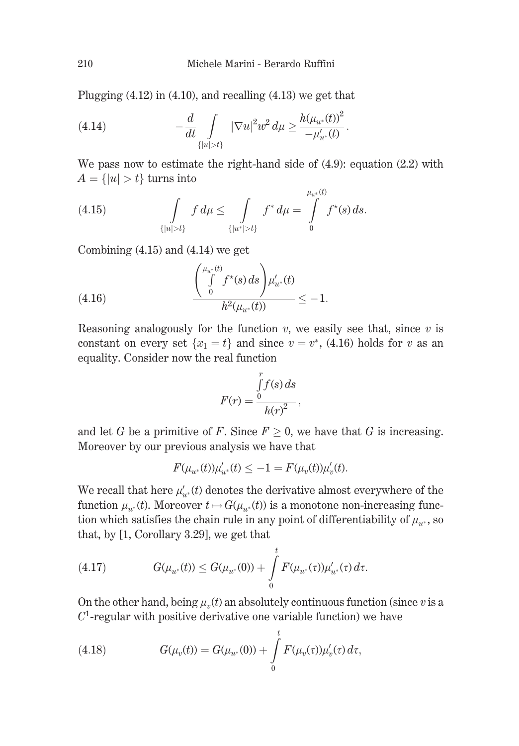Plugging  $(4.12)$  in  $(4.10)$ , and recalling  $(4.13)$  we get that

(4.14) 
$$
-\frac{d}{dt} \int_{\{|u|>t\}} |\nabla u|^2 w^2 d\mu \ge \frac{h(\mu_{u^*}(t))^2}{-\mu'_{u^*}(t)}.
$$

We pass now to estimate the right-hand side of  $(4.9)$ : equation  $(2.2)$  with  $A = \{|u| > t\}$  turns into

(4.15) 
$$
\int_{\{|u|>t\}} f d\mu \leq \int_{\{|u^*|>t\}} f^* d\mu = \int_0^{\mu_{u^*}(t)} f^*(s) ds.
$$

Combining  $(4.15)$  and  $(4.14)$  we get

(4.16) 
$$
\frac{\left(\int\limits_{0}^{\mu_{u^*}(t)} f^{\star}(s) ds\right) \mu'_{u^*}(t)}{h^2(\mu_{u^*}(t))} \leq -1.
$$

Reasoning analogously for the function  $v$ , we easily see that, since  $v$  is constant on every set  $\{x_1 = t\}$  and since  $v = v^*$ , (4.16) holds for v as an equality. Consider now the real function

$$
F(r) = \frac{\int_{0}^{r} f(s) ds}{h(r)^{2}},
$$

and let G be a primitive of F. Since  $F \geq 0$ , we have that G is increasing. Moreover by our previous analysis we have that

$$
F(\mu_{u^*}(t))\mu'_{u^*}(t) \le -1 = F(\mu_v(t))\mu'_v(t).
$$

We recall that here  $\mu'_{\mu*}(t)$  denotes the derivative almost everywhere of the function  $\mu_{u*}(t)$ . Moreover  $t \mapsto G(\mu_{u*}(t))$  is a monotone non-increasing function which satisfies the chain rule in any point of differentiability of  $\mu_{u^*}$ , so that, by [1, Corollary 3.29], we get that

(4.17) 
$$
G(\mu_{u^*}(t)) \leq G(\mu_{u^*}(0)) + \int_0^t F(\mu_{u^*}(\tau))\mu'_{u^*}(\tau) d\tau.
$$

On the other hand, being  $\mu_v(t)$  an absolutely continuous function (since v is a  $C<sup>1</sup>$ -regular with positive derivative one variable function) we have

(4.18) 
$$
G(\mu_v(t)) = G(\mu_{u^*}(0)) + \int_{0}^{t} F(\mu_v(\tau))\mu'_v(\tau) d\tau,
$$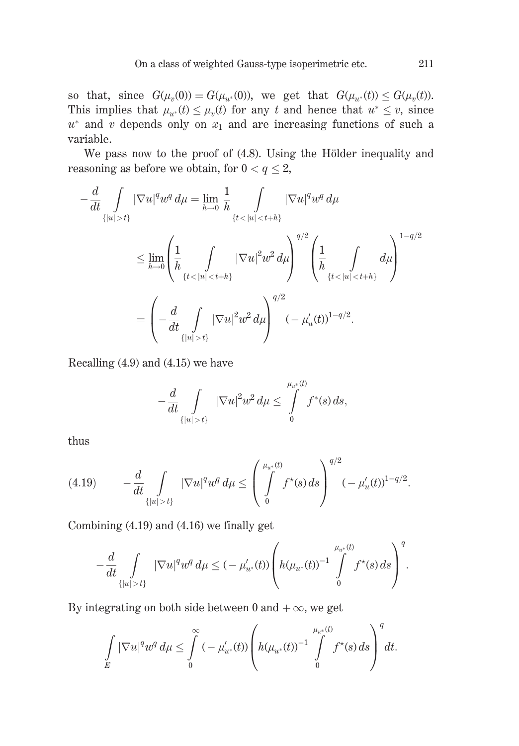so that, since  $G(\mu_v(0)) = G(\mu_{u^*}(0))$ , we get that  $G(\mu_{u^*}(t)) \leq G(\mu_v(t))$ . This implies that  $\mu_{u^*}(t) \leq \mu_v(t)$  for any t and hence that  $u^* \leq v$ , since  $u^*$  and v depends only on  $x_1$  and are increasing functions of such a variable.

We pass now to the proof of (4.8). Using the Hölder inequality and reasoning as before we obtain, for  $0 < q \leq 2$ ,

$$
-\frac{d}{dt} \int_{\{|u| > t\}} |\nabla u|^q w^q d\mu = \lim_{h \to 0} \frac{1}{h} \int_{\{t < |u| < t + h\}} |\nabla u|^q w^q d\mu
$$
\n
$$
\leq \lim_{h \to 0} \left( \frac{1}{h} \int_{\{t < |u| < t + h\}} |\nabla u|^2 w^2 d\mu \right)^{q/2} \left( \frac{1}{h} \int_{\{t < |u| < t + h\}} d\mu \right)^{1 - q/2}
$$
\n
$$
= \left( -\frac{d}{dt} \int_{\{|u| > t\}} |\nabla u|^2 w^2 d\mu \right)^{q/2} (-\mu_u'(t))^{1 - q/2}.
$$

Recalling  $(4.9)$  and  $(4.15)$  we have

$$
-\frac{d}{dt}\int\limits_{\{|u|>t\}}|\nabla u|^2w^2\,d\mu\leq \int\limits_0^{\mu_{u^*}(t)}f^*(s)\,ds,
$$

thus

$$
(4.19) \qquad -\frac{d}{dt} \int_{\{|u|>t\}} |\nabla u|^q w^q \, d\mu \le \left(\int\limits_0^{\mu_{u^*}(t)} f^*(s) \, ds\right)^{q/2} (-\mu_u'(t))^{1-q/2}.
$$

Combining  $(4.19)$  and  $(4.16)$  we finally get

$$
-\frac{d}{dt} \int_{\{|u|>t\}} |\nabla u|^q w^q d\mu \leq (-\mu'_{u^*}(t)) \left(h(\mu_{u^*}(t))^{-1} \int\limits_{0}^{\mu_{u^*}(t)} f^{\star}(s) ds\right)^q.
$$

By integrating on both side between 0 and  $+\infty$ , we get

$$
\int\limits_{E} |\nabla u|^q w^q \, d\mu \leq \int\limits_{0}^{\infty} (-\mu'_{u^*}(t)) \left( h(\mu_{u^*}(t))^{-1} \int\limits_{0}^{\mu_{u^*}(t)} f^{\star}(s) \, ds \right)^q dt.
$$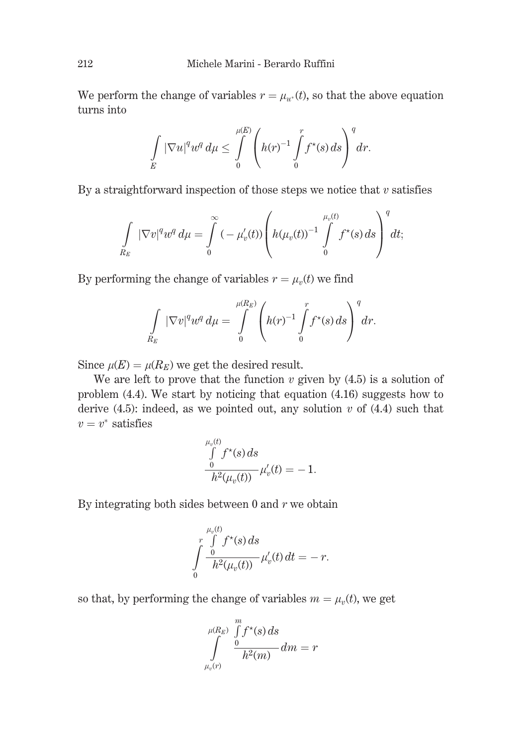We perform the change of variables  $r = \mu_{u^*}(t)$ , so that the above equation turns into

$$
\int\limits_E |\nabla u|^q w^q d\mu \leq \int\limits_0^{\mu(E)} \left( h(r)^{-1} \int\limits_0^r f^\star(s) ds \right)^q dr.
$$

By a straightforward inspection of those steps we notice that  $v$  satisfies

$$
\int\limits_{R_E} |\nabla v|^q w^q d\mu = \int\limits_0^\infty \left(-\mu'_v(t)\right) \left(h(\mu_v(t))^{-1} \int\limits_0^{\mu_v(t)} f^\star(s) ds\right)^q dt;
$$

By performing the change of variables  $r = \mu_n(t)$  we find

$$
\int\limits_{R_E} |\nabla v|^q w^q d\mu = \int\limits_0^{\mu(R_E)} \left( h(r)^{-1} \int\limits_0^r f^\star(s) ds \right)^q dr.
$$

Since  $\mu(E) = \mu(R_E)$  we get the desired result.

We are left to prove that the function  $v$  given by  $(4.5)$  is a solution of problem  $(4.4)$ . We start by noticing that equation  $(4.16)$  suggests how to derive  $(4.5)$ : indeed, as we pointed out, any solution v of  $(4.4)$  such that  $v = v^*$  satisfies

$$
\int_{0}^{\mu_v(t)} f^*(s) ds \n\frac{0}{h^2(\mu_v(t))} \mu'_v(t) = -1.
$$

By integrating both sides between 0 and  $r$  we obtain

$$
\int\limits_{0}^{\mu_v(t)}\frac{\int\limits_{0}^{\mu_v(t)}f^\star(s)\,ds}{h^2(\mu_v(t))}\,\mu'_v(t)\,dt=-\,r.
$$

so that, by performing the change of variables  $m = \mu_n(t)$ , we get

$$
\int\limits_{\mu_v(r)}^{\mu(R_E)}\frac{\int\limits_{0}^{m}f^\star(s)\,ds}{h^2(m)}\,dm=r
$$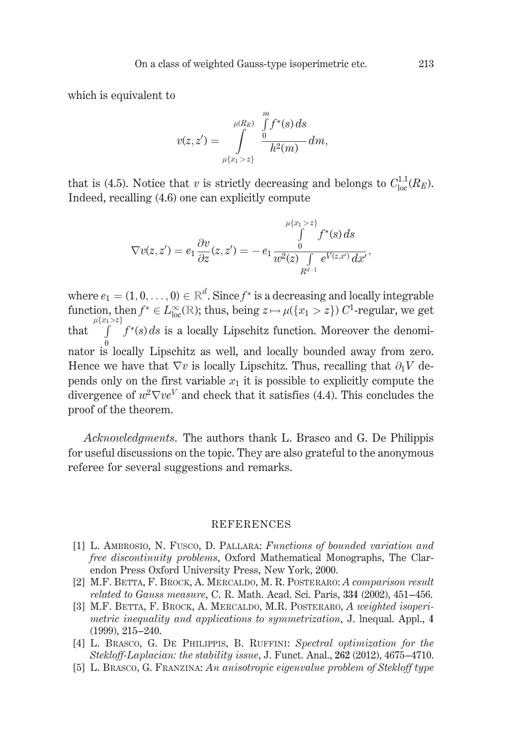which is equivalent to

$$
v(z,z')=\int\limits_{\mu\{x_1>z\}}^{\mu(R_E)}\frac{\int\limits_0^m f^\star(s)\,ds}{h^2(m)}dm,
$$

that is (4.5). Notice that v is strictly decreasing and belongs to  $C^{1,1}_{loc}(R_E)$ . Indeed, recalling (4.6) one can explicitly compute

$$
\nabla v(z,z') = e_1 \frac{\partial v}{\partial z}(z,z') = -e_1 \frac{\int\limits_{0}^{\mu\{x_1 > z\}} f^\star(s)\,ds}{w^2(z) \int\limits_{R^{d-1}} e^{V(z,x')} \,dx'},
$$

where  $e_1 = (1, 0, \ldots, 0) \in \mathbb{R}^d$ . Since  $f^*$  is a decreasing and locally integrable function, then  $f^* \in L^{\infty}_{loc}(\mathbb{R})$ ; thus, being  $z \mapsto \mu({x_1 > z}) C^1$ -regular, we get  $\int_{\mu(x_1 > z)}^{\mu(x_1 > z)} f^*(s) ds$  is a locally Lipschitz function. Moreover the denomi- $\ensuremath{\text{that}}$ nator is locally Lipschitz as well, and locally bounded away from zero. Hence we have that  $\nabla v$  is locally Lipschitz. Thus, recalling that  $\partial_1 V$  depends only on the first variable  $x_1$  it is possible to explicitly compute the divergence of  $w^2 \nabla v e^V$  and check that it satisfies (4.4). This concludes the proof of the theorem.

*Acknowledgments*. The authors thank L. Brasco and G. De Philippis for useful discussions on the topic. They are also grateful to the anonymous referee for several suggestions and remarks.

#### **REFERENCES**

- [1] L. AMBROSIO, N. FUSCO, D. PALLARA; Functions of bounded variation and free discontinuity problems, Oxford Mathematical Monographs, The Clarendon Press Oxford University Press, New York, 2000.
- [2] M.F. BETTA, F. BROCK, A. MERCALDO, M. R. POSTERARO: A comparison result related to Gauss measure, C. R. Math. Acad. Sci. Paris, 334 (2002), 451–456.
- [3] M.F. BETTA, F. BROCK, A. MERCALDO, M.R. POSTERARO, A weighted isoperimetric inequality and applications to symmetrization, J. Inequal. Appl., 4  $(1999), 215 - 240.$
- [4] L. BRASCO, G. DE PHILIPPIS, B. RUFFINI: Spectral optimization for the Stekloff-Laplacian: the stability issue, J. Funct. Anal., 262 (2012), 4675-4710.
- [5] L. BRASCO, G. FRANZINA: An anisotropic eigenvalue problem of Stekloff type